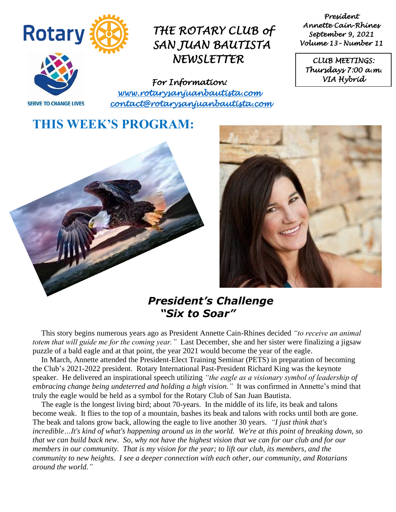

*President Annette Cain-Rhines September 9, 2021 Volume 13– Number 11* 

*CLUB MEETINGS: Thursdays 7:00 a.m. VIA Hybrid* 

**SERVE TO CHANGE LIVES** 

*For Information: [www.rotarysanjuanbautista.com](http://www.rotarysanjuanbautista.com/)  contact@rotarysanjuanbautista.com* 

## **THIS WEEK'S PROGRAM:**





## *President's Challenge "Six to Soar"*

This story begins numerous years ago as President Annette Cain-Rhines decided *"to receive an animal totem that will guide me for the coming year."* Last December, she and her sister were finalizing a jigsaw puzzle of a bald eagle and at that point, the year 2021 would become the year of the eagle.

In March, Annette attended the President-Elect Training Seminar (PETS) in preparation of becoming the Club's 2021-2022 president. Rotary International Past-President Richard King was the keynote speaker. He delivered an inspirational speech utilizing *"the eagle as a visionary symbol of leadership of embracing change being undeterred and holding a high vision."* It was confirmed in Annette's mind that truly the eagle would be held as a symbol for the Rotary Club of San Juan Bautista.

The eagle is the longest living bird; about 70-years. In the middle of its life, its beak and talons become weak. It flies to the top of a mountain, bashes its beak and talons with rocks until both are gone. The beak and talons grow back, allowing the eagle to live another 30 years. *"I just think that's incredible…It's kind of what's happening around us in the world. We're at this point of breaking down, so that we can build back new. So, why not have the highest vision that we can for our club and for our members in our community. That is my vision for the year; to lift our club, its members, and the community to new heights. I see a deeper connection with each other, our community, and Rotarians around the world."*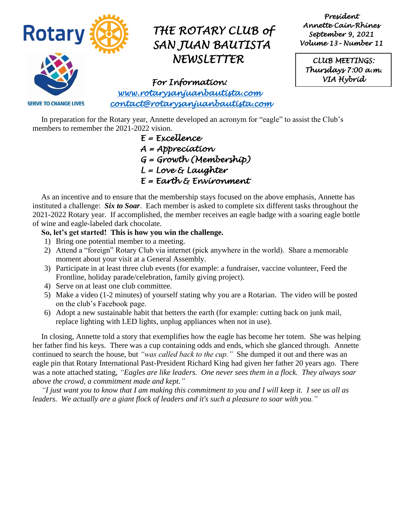

*President Annette Cain-Rhines September 9, 2021 Volume 13– Number 11* 

*CLUB MEETINGS: Thursdays 7:00 a.m. VIA Hybrid* 

*For Information: [www.rotarysanjuanbautista.com](http://www.rotarysanjuanbautista.com/)  contact@rotarysanjuanbautista.com* 

**SERVE TO CHANGE LIVES** 

In preparation for the Rotary year, Annette developed an acronym for "eagle" to assist the Club's members to remember the 2021-2022 vision.

 *E = Excellence A = Appreciation G = Growth (Membership) L = Love & Laughter E = Earth & Environment* 

As an incentive and to ensure that the membership stays focused on the above emphasis, Annette has instituted a challenge: *Six to Soar*. Each member is asked to complete six different tasks throughout the 2021-2022 Rotary year. If accomplished, the member receives an eagle badge with a soaring eagle bottle of wine and eagle-labeled dark chocolate.

#### **So, let's get started! This is how you win the challenge.**

- 1) Bring one potential member to a meeting.
- 2) Attend a "foreign" Rotary Club via internet (pick anywhere in the world). Share a memorable moment about your visit at a General Assembly.
- 3) Participate in at least three club events (for example: a fundraiser, vaccine volunteer, Feed the Frontline, holiday parade/celebration, family giving project).
- 4) Serve on at least one club committee.
- 5) Make a video (1-2 minutes) of yourself stating why you are a Rotarian. The video will be posted on the club's Facebook page.
- 6) Adopt a new sustainable habit that betters the earth (for example: cutting back on junk mail, replace lighting with LED lights, unplug appliances when not in use).

In closing, Annette told a story that exemplifies how the eagle has become her totem. She was helping her father find his keys. There was a cup containing odds and ends, which she glanced through. Annette continued to search the house, but *"was called back to the cup."* She dumped it out and there was an eagle pin that Rotary International Past-President Richard King had given her father 20 years ago. There was a note attached stating, *"Eagles are like leaders. One never sees them in a flock. They always soar above the crowd, a commitment made and kept."*

*"I just want you to know that I am making this commitment to you and I will keep it. I see us all as leaders. We actually are a giant flock of leaders and it's such a pleasure to soar with you."*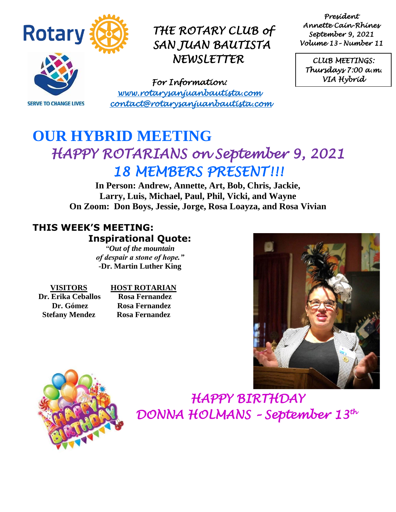

**SERVE TO CHANGE LIVES** 

*THE ROTARY CLUB of SAN JUAN BAUTISTA NEWSLETTER* 

*For Information: [www.rotarysanjuanbautista.com](http://www.rotarysanjuanbautista.com/)  contact@rotarysanjuanbautista.com* 

*President Annette Cain-Rhines September 9, 2021 Volume 13– Number 11* 

*CLUB MEETINGS: Thursdays 7:00 a.m. VIA Hybrid* 

# **OUR HYBRID MEETING**  *HAPPY ROTARIANS on September 9, 2021 18 MEMBERS PRESENT!!!*

**In Person: Andrew, Annette, Art, Bob, Chris, Jackie, Larry, Luis, Michael, Paul, Phil, Vicki, and Wayne On Zoom: Don Boys, Jessie, Jorge, Rosa Loayza, and Rosa Vivian**

### **THIS WEEK'S MEETING: Inspirational Quote:**

*"Out of the mountain of despair a stone of hope."* **-Dr. Martin Luther King**

 **Dr. Erika Ceballos Rosa Fernandez Stefany Mendez Rosa Fernandez** 

### **VISITORS HOST ROTARIAN**

 **Dr. Gómez Rosa Fernandez**





 *HAPPY BIRTHDAY DONNA HOLMANS – September 13th*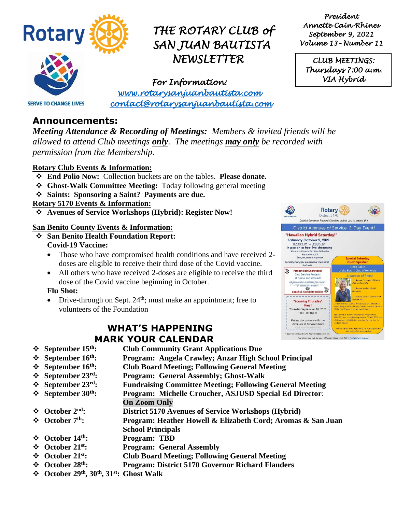

*President Annette Cain-Rhines September 9, 2021 Volume 13– Number 11* 

*CLUB MEETINGS: Thursdays 7:00 a.m. VIA Hybrid* 

**SERVE TO CHANGE LIVES** 

*For Information: [www.rotarysanjuanbautista.com](http://www.rotarysanjuanbautista.com/)  contact@rotarysanjuanbautista.com* 

### **Announcements:**

*Meeting Attendance & Recording of Meetings: Members & invited friends will be allowed to attend Club meetings only. The meetings may only be recorded with permission from the Membership.*

### **Rotary Club Events & Information:**

- ❖ **End Polio Now:** Collection buckets are on the tables. **Please donate.**
- ❖ **Ghost-Walk Committee Meeting:** Today following general meeting
- ❖ **Saints: Sponsoring a Saint? Payments are due.**

#### **Rotary 5170 Events & Information:**

❖ **Avenues of Service Workshops (Hybrid): Register Now!**

#### **San Benito County Events & Information:**

- ❖ **San Benito Health Foundation Report: Covid-19 Vaccine:**
	- Those who have compromised health conditions and have received 2doses are eligible to receive their third dose of the Covid vaccine.
	- All others who have received 2-doses are eligible to receive the third dose of the Covid vaccine beginning in October.

### **Flu Shot:**

• Drive-through on Sept.  $24<sup>th</sup>$ ; must make an appointment; free to volunteers of the Foundation

### **WHAT'S HAPPENING MARK YOUR CALENDAR**

- ❖ **September 15th: Club Community Grant Applications Due**
- ❖ **September 16th: Program: Angela Crawley; Anzar High School Principal**
- ❖ **September 16th: Club Board Meeting; Following General Meeting**
- ❖ **September 23 rd: Program: General Assembly; Ghost-Walk**
- ❖ **September 23rd: Fundraising Committee Meeting; Following General Meeting**
- ❖ **September 30th: Program: Michelle Croucher, ASJUSD Special Ed Director**:
	- **On Zoom Only**
- ❖ **October 2nd: District 5170 Avenues of Service Workshops (Hybrid)**
- ❖ **October 7th: Program: Heather Howell & Elizabeth Cord; Aromas & San Juan School Principals**
- ❖ **October 14th: Program: TBD**
- ❖ **October 21st: Program: General Assembly**
- ❖ **October 21st: Club Board Meeting; Following General Meeting**
- ❖ **October 28th: Program: District 5170 Governor Richard Flanders**
- ❖ **October 29th, 30th, 31st: Ghost Walk**

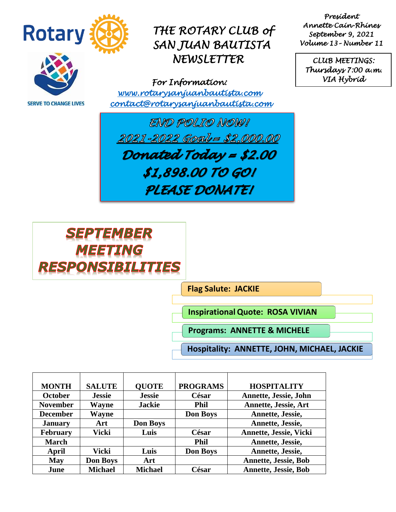

**SERVE TO CHANGE LIVES** 

## *THE ROTARY CLUB of SAN JUAN BAUTISTA NEWSLETTER*

*For Information: [www.rotarysanjuanbautista.com](http://www.rotarysanjuanbautista.com/)  contact@rotarysanjuanbautista.com* 

*President Annette Cain-Rhines September 9, 2021 Volume 13– Number 11* 

*CLUB MEETINGS: Thursdays 7:00 a.m. VIA Hybrid* 

END POLIO NOW! 2021-2022 Goal = \$2,000.00 Donated Today = \$2.00 \$1,898.00 TO GOI PLEASE DONATE!



**Flag Salute: JACKIE** 

**InspirationalQuote: ROSA VIVIAN**

**Programs: ANNETTE & MICHELE**

**Hospitality: ANNETTE, JOHN, MICHAEL, JACKIE**

| <b>MONTH</b>    | <b>SALUTE</b>   | <b>OUOTE</b>    | <b>PROGRAMS</b> | <b>HOSPITALITY</b>          |
|-----------------|-----------------|-----------------|-----------------|-----------------------------|
| <b>October</b>  | <b>Jessie</b>   | <b>Jessie</b>   | César           | Annette, Jessie, John       |
| <b>November</b> | <b>Wayne</b>    | <b>Jackie</b>   | <b>Phil</b>     | <b>Annette, Jessie, Art</b> |
| <b>December</b> | Wayne           |                 | <b>Don Boys</b> | Annette, Jessie,            |
| <b>January</b>  | Art             | <b>Don Boys</b> |                 | Annette, Jessie,            |
| <b>February</b> | Vicki           | Luis            | César           | Annette, Jessie, Vicki      |
| <b>March</b>    |                 |                 | <b>Phil</b>     | Annette, Jessie,            |
| April           | Vicki           | Luis            | <b>Don Boys</b> | Annette, Jessie,            |
| <b>May</b>      | <b>Don Boys</b> | Art             |                 | <b>Annette, Jessie, Bob</b> |
| June            | <b>Michael</b>  | <b>Michael</b>  | César           | <b>Annette, Jessie, Bob</b> |